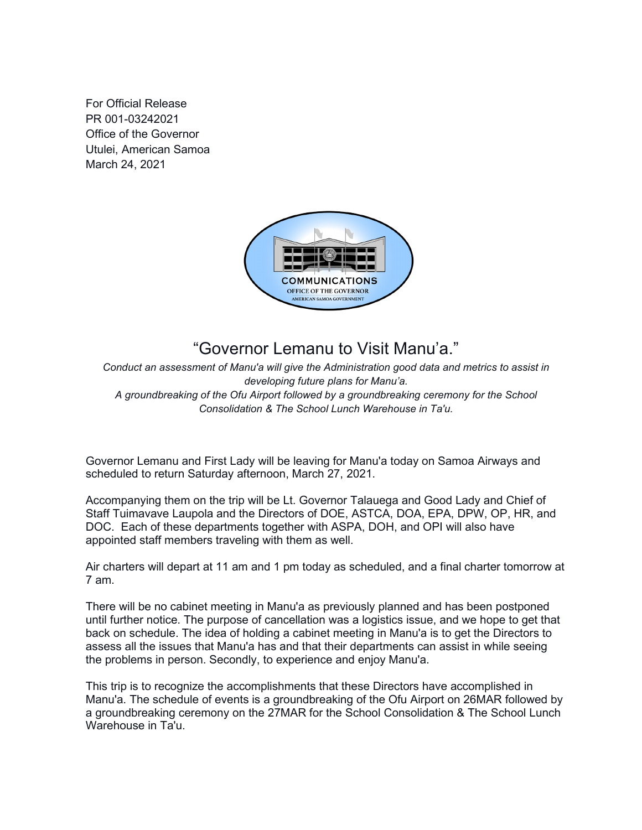For Official Release PR 001-03242021 Office of the Governor Utulei, American Samoa March 24, 2021



## "Governor Lemanu to Visit Manu'a."

*Conduct an assessment of Manu'a will give the Administration good data and metrics to assist in developing future plans for Manu'a. A groundbreaking of the Ofu Airport followed by a groundbreaking ceremony for the School Consolidation & The School Lunch Warehouse in Ta'u.*

Governor Lemanu and First Lady will be leaving for Manu'a today on Samoa Airways and scheduled to return Saturday afternoon, March 27, 2021.

Accompanying them on the trip will be Lt. Governor Talauega and Good Lady and Chief of Staff Tuimavave Laupola and the Directors of DOE, ASTCA, DOA, EPA, DPW, OP, HR, and DOC. Each of these departments together with ASPA, DOH, and OPI will also have appointed staff members traveling with them as well.

Air charters will depart at 11 am and 1 pm today as scheduled, and a final charter tomorrow at 7 am.

There will be no cabinet meeting in Manu'a as previously planned and has been postponed until further notice. The purpose of cancellation was a logistics issue, and we hope to get that back on schedule. The idea of holding a cabinet meeting in Manu'a is to get the Directors to assess all the issues that Manu'a has and that their departments can assist in while seeing the problems in person. Secondly, to experience and enjoy Manu'a.

This trip is to recognize the accomplishments that these Directors have accomplished in Manu'a. The schedule of events is a groundbreaking of the Ofu Airport on 26MAR followed by a groundbreaking ceremony on the 27MAR for the School Consolidation & The School Lunch Warehouse in Ta'u.